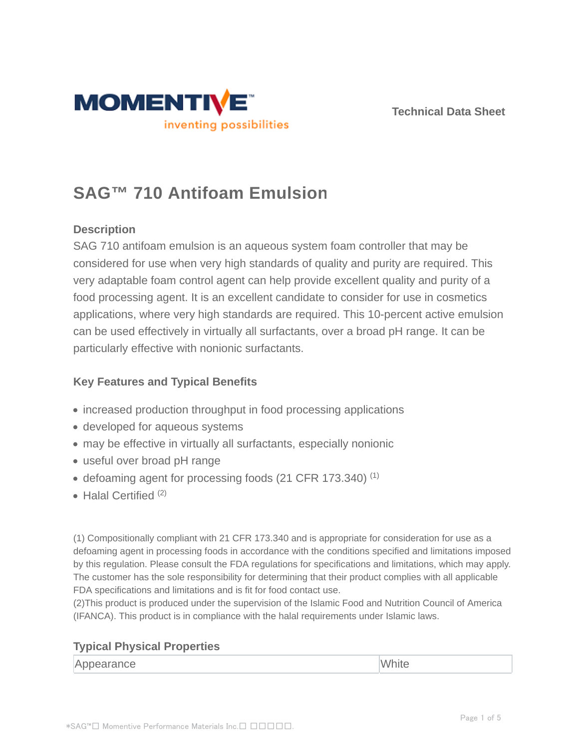



# **SAG™ 710 Antifoam Emulsion**

# **Description**

SAG 710 antifoam emulsion is an aqueous system foam controller that may be considered for use when very high standards of quality and purity are required. This very adaptable foam control agent can help provide excellent quality and purity of a food processing agent. It is an excellent candidate to consider for use in cosmetics applications, where very high standards are required. This 10-percent active emulsion can be used effectively in virtually all surfactants, over a broad pH range. It can be particularly effective with nonionic surfactants.

# **Key Features and Typical Benefits**

- increased production throughput in food processing applications
- developed for aqueous systems
- may be effective in virtually all surfactants, especially nonionic
- useful over broad pH range
- defoaming agent for processing foods (21 CFR 173.340)<sup>(1)</sup>
- $\bullet$  Halal Certified  $(2)$

(1) Compositionally compliant with 21 CFR 173.340 and is appropriate for consideration for use as a defoaming agent in processing foods in accordance with the conditions specified and limitations imposed by this regulation. Please consult the FDA regulations for specifications and limitations, which may apply. The customer has the sole responsibility for determining that their product complies with all applicable FDA specifications and limitations and is fit for food contact use.

(2)This product is produced under the supervision of the Islamic Food and Nutrition Council of America (IFANCA). This product is in compliance with the halal requirements under Islamic laws.

## **Typical Physical Properties**

| $2.11 - 1.$<br>pearance<br><b>IADI</b><br>VVIIII<br>----- |  |
|-----------------------------------------------------------|--|
|-----------------------------------------------------------|--|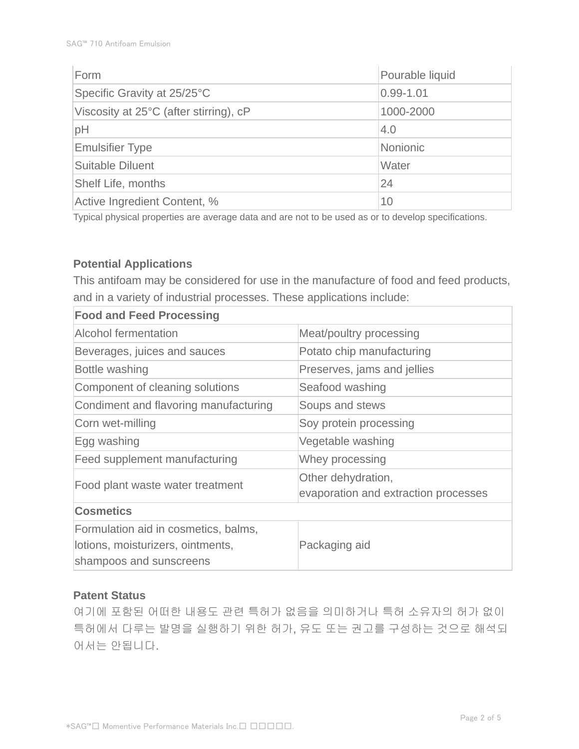| Form                                   | Pourable liquid |  |
|----------------------------------------|-----------------|--|
| Specific Gravity at 25/25°C            | $0.99 - 1.01$   |  |
| Viscosity at 25°C (after stirring), cP | 1000-2000       |  |
| pH                                     | 4.0             |  |
| <b>Emulsifier Type</b>                 | <b>Nonionic</b> |  |
| <b>Suitable Diluent</b>                | Water           |  |
| Shelf Life, months                     | 24              |  |
| Active Ingredient Content, %           | 10              |  |

Typical physical properties are average data and are not to be used as or to develop specifications.

# **Potential Applications**

This antifoam may be considered for use in the manufacture of food and feed products, and in a variety of industrial processes. These applications include:

| <b>Food and Feed Processing</b>                                                                      |                                                            |  |  |  |
|------------------------------------------------------------------------------------------------------|------------------------------------------------------------|--|--|--|
| <b>Alcohol fermentation</b>                                                                          | Meat/poultry processing                                    |  |  |  |
| Beverages, juices and sauces                                                                         | Potato chip manufacturing                                  |  |  |  |
| Bottle washing                                                                                       | Preserves, jams and jellies                                |  |  |  |
| Component of cleaning solutions                                                                      | Seafood washing                                            |  |  |  |
| Condiment and flavoring manufacturing                                                                | Soups and stews                                            |  |  |  |
| Corn wet-milling                                                                                     | Soy protein processing                                     |  |  |  |
| Egg washing                                                                                          | Vegetable washing                                          |  |  |  |
| Feed supplement manufacturing                                                                        | Whey processing                                            |  |  |  |
| Food plant waste water treatment                                                                     | Other dehydration,<br>evaporation and extraction processes |  |  |  |
| <b>Cosmetics</b>                                                                                     |                                                            |  |  |  |
| Formulation aid in cosmetics, balms,<br>lotions, moisturizers, ointments,<br>shampoos and sunscreens | Packaging aid                                              |  |  |  |

## **Patent Status**

여기에 포함된 어떠한 내용도 관련 특허가 없음을 의미하거나 특허 소유자의 허가 없이 특허에서 다루는 발명을 실행하기 위한 허가, 유도 또는 권고를 구성하는 것으로 해석되 어서는 안됩니다.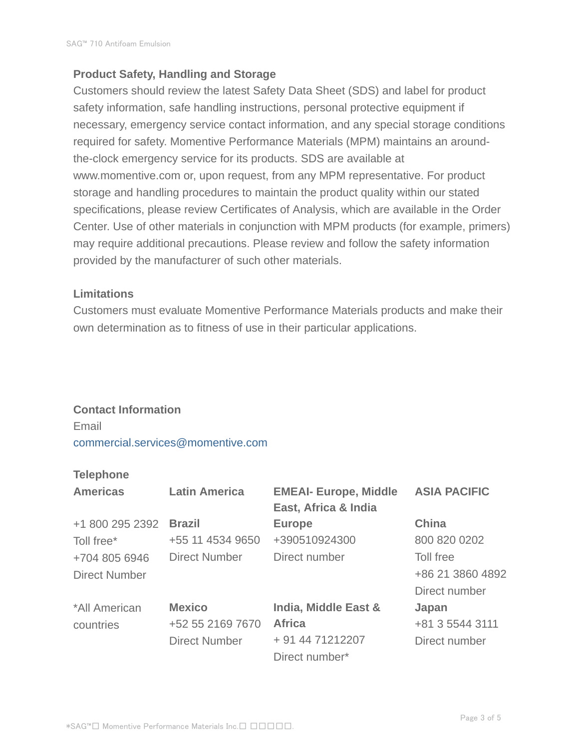# **Product Safety, Handling and Storage**

Customers should review the latest Safety Data Sheet (SDS) and label for product safety information, safe handling instructions, personal protective equipment if necessary, emergency service contact information, and any special storage conditions required for safety. Momentive Performance Materials (MPM) maintains an aroundthe-clock emergency service for its products. SDS are available at www.momentive.com or, upon request, from any MPM representative. For product storage and handling procedures to maintain the product quality within our stated specifications, please review Certificates of Analysis, which are available in the Order Center. Use of other materials in conjunction with MPM products (for example, primers) may require additional precautions. Please review and follow the safety information provided by the manufacturer of such other materials.

## **Limitations**

Customers must evaluate Momentive Performance Materials products and make their own determination as to fitness of use in their particular applications.

#### **Contact Information**

Email commercial.services@momentive.com

## **Telephone**

| <b>Americas</b>      | <b>Latin America</b> | <b>EMEAI- Europe, Middle</b><br>East, Africa & India | <b>ASIA PACIFIC</b> |
|----------------------|----------------------|------------------------------------------------------|---------------------|
| +1 800 295 2392      | <b>Brazil</b>        | <b>Europe</b>                                        | <b>China</b>        |
| Toll free*           | +55 11 4534 9650     | +390510924300                                        | 800 820 0202        |
| +704 805 6946        | <b>Direct Number</b> | Direct number                                        | Toll free           |
| <b>Direct Number</b> |                      |                                                      | +86 21 3860 4892    |
|                      |                      |                                                      | Direct number       |
| *All American        | <b>Mexico</b>        | India, Middle East &                                 | Japan               |
| countries            | +52 55 2169 7670     | <b>Africa</b>                                        | +81 3 5544 3111     |
|                      | <b>Direct Number</b> | + 91 44 71212207                                     | Direct number       |
|                      |                      | Direct number*                                       |                     |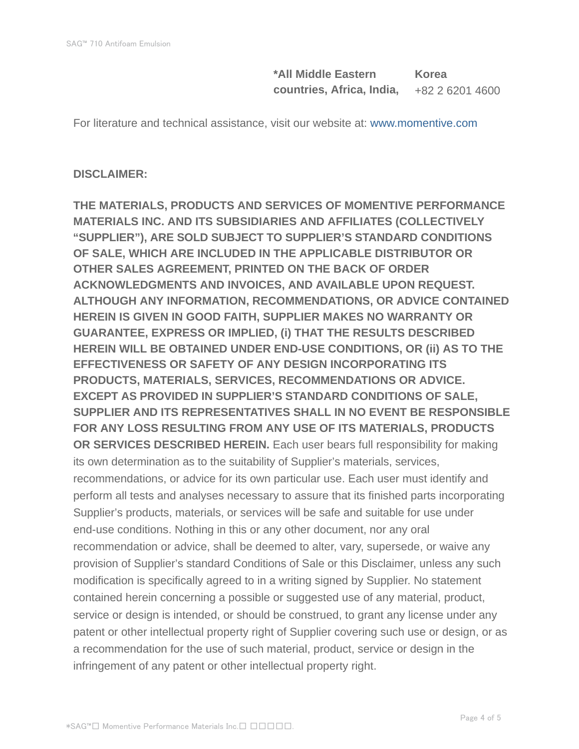**\*All Middle Eastern countries, Africa, India, Korea** +82 2 6201 4600

For literature and technical assistance, visit our website at: www.momentive.com

## **DISCLAIMER:**

**THE MATERIALS, PRODUCTS AND SERVICES OF MOMENTIVE PERFORMANCE MATERIALS INC. AND ITS SUBSIDIARIES AND AFFILIATES (COLLECTIVELY "SUPPLIER"), ARE SOLD SUBJECT TO SUPPLIER'S STANDARD CONDITIONS OF SALE, WHICH ARE INCLUDED IN THE APPLICABLE DISTRIBUTOR OR OTHER SALES AGREEMENT, PRINTED ON THE BACK OF ORDER ACKNOWLEDGMENTS AND INVOICES, AND AVAILABLE UPON REQUEST. ALTHOUGH ANY INFORMATION, RECOMMENDATIONS, OR ADVICE CONTAINED HEREIN IS GIVEN IN GOOD FAITH, SUPPLIER MAKES NO WARRANTY OR GUARANTEE, EXPRESS OR IMPLIED, (i) THAT THE RESULTS DESCRIBED HEREIN WILL BE OBTAINED UNDER END-USE CONDITIONS, OR (ii) AS TO THE EFFECTIVENESS OR SAFETY OF ANY DESIGN INCORPORATING ITS PRODUCTS, MATERIALS, SERVICES, RECOMMENDATIONS OR ADVICE. EXCEPT AS PROVIDED IN SUPPLIER'S STANDARD CONDITIONS OF SALE, SUPPLIER AND ITS REPRESENTATIVES SHALL IN NO EVENT BE RESPONSIBLE FOR ANY LOSS RESULTING FROM ANY USE OF ITS MATERIALS, PRODUCTS OR SERVICES DESCRIBED HEREIN.** Each user bears full responsibility for making its own determination as to the suitability of Supplier's materials, services, recommendations, or advice for its own particular use. Each user must identify and perform all tests and analyses necessary to assure that its finished parts incorporating Supplier's products, materials, or services will be safe and suitable for use under end-use conditions. Nothing in this or any other document, nor any oral recommendation or advice, shall be deemed to alter, vary, supersede, or waive any provision of Supplier's standard Conditions of Sale or this Disclaimer, unless any such modification is specifically agreed to in a writing signed by Supplier. No statement contained herein concerning a possible or suggested use of any material, product, service or design is intended, or should be construed, to grant any license under any patent or other intellectual property right of Supplier covering such use or design, or as a recommendation for the use of such material, product, service or design in the infringement of any patent or other intellectual property right.